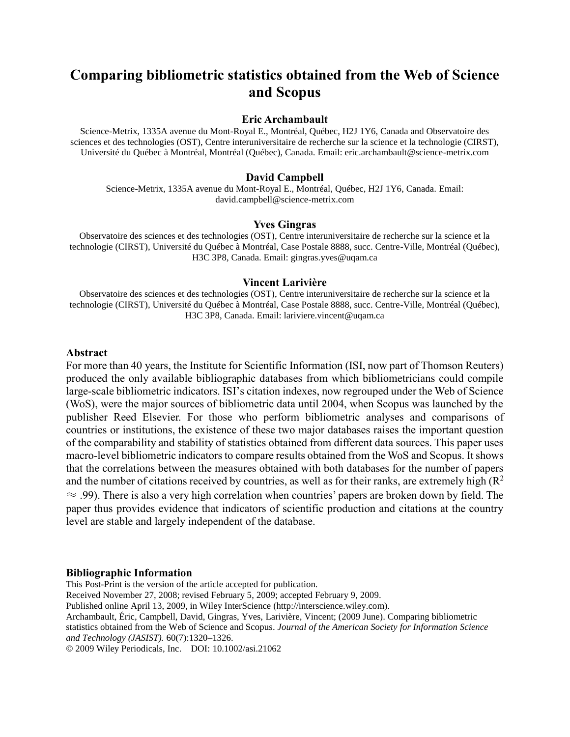# **Comparing bibliometric statistics obtained from the Web of Science and Scopus**

#### **Eric Archambault**

Science-Metrix, 1335A avenue du Mont-Royal E., Montréal, Québec, H2J 1Y6, Canada and Observatoire des sciences et des technologies (OST), Centre interuniversitaire de recherche sur la science et la technologie (CIRST), Université du Québec à Montréal, Montréal (Québec), Canada. Email: [eric.archambault@science-metrix.com](mailto:eric.archambault@science-metrix.com)

#### **David Campbell**

Science-Metrix, 1335A avenue du Mont-Royal E., Montréal, Québec, H2J 1Y6, Canada. Email: [david.campbell@science-metrix.com](mailto:david.campbell@science-metrix.com)

## **Yves Gingras**

Observatoire des sciences et des technologies (OST), Centre interuniversitaire de recherche sur la science et la technologie (CIRST), Université du Québec à Montréal, Case Postale 8888, succ. Centre-Ville, Montréal (Québec), H3C 3P8, Canada. Email: gingras.yves@uqam.ca

#### **Vincent Larivière**

Observatoire des sciences et des technologies (OST), Centre interuniversitaire de recherche sur la science et la technologie (CIRST), Université du Québec à Montréal, Case Postale 8888, succ. Centre-Ville, Montréal (Québec), H3C 3P8, Canada. Email: lariviere.vincent@uqam.ca

## **Abstract**

For more than 40 years, the Institute for Scientific Information (ISI, now part of Thomson Reuters) produced the only available bibliographic databases from which bibliometricians could compile large-scale bibliometric indicators. ISI's citation indexes, now regrouped under the Web of Science (WoS), were the major sources of bibliometric data until 2004, when Scopus was launched by the publisher Reed Elsevier. For those who perform bibliometric analyses and comparisons of countries or institutions, the existence of these two major databases raises the important question of the comparability and stability of statistics obtained from different data sources. This paper uses macro-level bibliometric indicators to compare results obtained from the WoS and Scopus. It shows that the correlations between the measures obtained with both databases for the number of papers and the number of citations received by countries, as well as for their ranks, are extremely high  $(R^2)$  $\approx$  .99). There is also a very high correlation when countries' papers are broken down by field. The paper thus provides evidence that indicators of scientific production and citations at the country level are stable and largely independent of the database.

### **Bibliographic Information**

This Post-Print is the version of the article accepted for publication.

Received November 27, 2008; revised February 5, 2009; accepted February 9, 2009.

Published online April 13, 2009, in Wiley InterScience (http://interscience.wiley.com).

Archambault, Éric, Campbell, David, Gingras, Yves, Larivière, Vincent; (2009 June). Comparing bibliometric

statistics obtained from the Web of Science and Scopus. *Journal of the American Society for Information Science and Technology (JASIST).* 60(7):1320–1326.

© 2009 Wiley Periodicals, Inc. DOI: 10.1002/asi.21062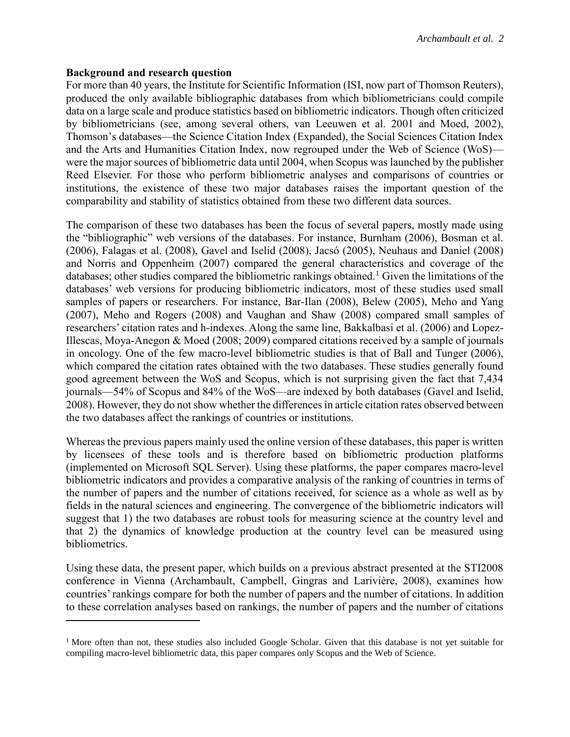## **Background and research question**

 $\overline{a}$ 

For more than 40 years, the Institute for Scientific Information (ISI, now part of Thomson Reuters), produced the only available bibliographic databases from which bibliometricians could compile data on a large scale and produce statistics based on bibliometric indicators. Though often criticized by bibliometricians (see, among several others, van Leeuwen et al. 2001 and Moed, 2002), Thomson's databases—the Science Citation Index (Expanded), the Social Sciences Citation Index and the Arts and Humanities Citation Index, now regrouped under the Web of Science (WoS) were the major sources of bibliometric data until 2004, when Scopus was launched by the publisher Reed Elsevier. For those who perform bibliometric analyses and comparisons of countries or institutions, the existence of these two major databases raises the important question of the comparability and stability of statistics obtained from these two different data sources.

The comparison of these two databases has been the focus of several papers, mostly made using the "bibliographic" web versions of the databases. For instance, Burnham (2006), Bosman et al. (2006), Falagas et al. (2008), Gavel and Iselid (2008), Jacsó (2005), Neuhaus and Daniel (2008) and Norris and Oppenheim (2007) compared the general characteristics and coverage of the databases; other studies compared the bibliometric rankings obtained.<sup>1</sup> Given the limitations of the databases' web versions for producing bibliometric indicators, most of these studies used small samples of papers or researchers. For instance, Bar-Ilan (2008), Belew (2005), Meho and Yang (2007), Meho and Rogers (2008) and Vaughan and Shaw (2008) compared small samples of researchers' citation rates and h-indexes. Along the same line, Bakkalbasi et al. (2006) and Lopez-Illescas, Moya-Anegon & Moed (2008; 2009) compared citations received by a sample of journals in oncology. One of the few macro-level bibliometric studies is that of Ball and Tunger (2006), which compared the citation rates obtained with the two databases. These studies generally found good agreement between the WoS and Scopus, which is not surprising given the fact that 7,434 journals—54% of Scopus and 84% of the WoS—are indexed by both databases (Gavel and Iselid, 2008). However, they do not show whether the differences in article citation rates observed between the two databases affect the rankings of countries or institutions.

Whereas the previous papers mainly used the online version of these databases, this paper is written by licensees of these tools and is therefore based on bibliometric production platforms (implemented on Microsoft SQL Server). Using these platforms, the paper compares macro-level bibliometric indicators and provides a comparative analysis of the ranking of countries in terms of the number of papers and the number of citations received, for science as a whole as well as by fields in the natural sciences and engineering. The convergence of the bibliometric indicators will suggest that 1) the two databases are robust tools for measuring science at the country level and that 2) the dynamics of knowledge production at the country level can be measured using bibliometrics.

Using these data, the present paper, which builds on a previous abstract presented at the STI2008 conference in Vienna (Archambault, Campbell, Gingras and Larivière, 2008), examines how countries' rankings compare for both the number of papers and the number of citations. In addition to these correlation analyses based on rankings, the number of papers and the number of citations

<sup>&</sup>lt;sup>1</sup> More often than not, these studies also included Google Scholar. Given that this database is not yet suitable for compiling macro-level bibliometric data, this paper compares only Scopus and the Web of Science.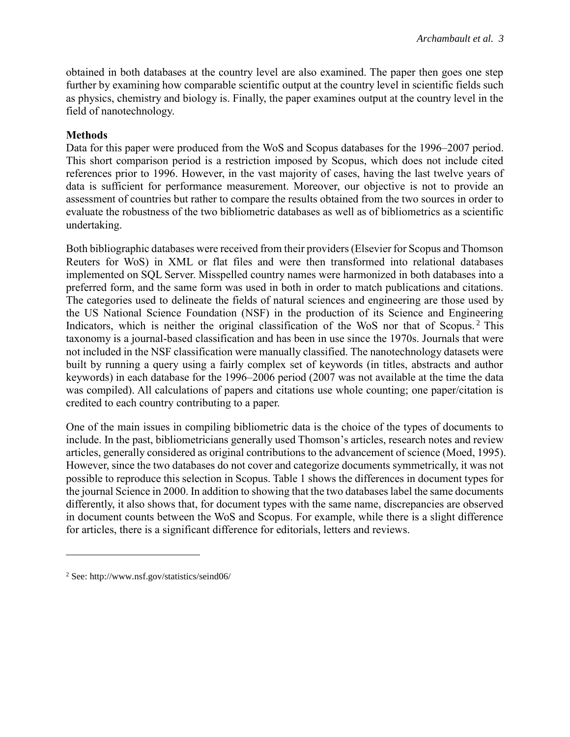obtained in both databases at the country level are also examined. The paper then goes one step further by examining how comparable scientific output at the country level in scientific fields such as physics, chemistry and biology is. Finally, the paper examines output at the country level in the field of nanotechnology.

# **Methods**

Data for this paper were produced from the WoS and Scopus databases for the 1996–2007 period. This short comparison period is a restriction imposed by Scopus, which does not include cited references prior to 1996. However, in the vast majority of cases, having the last twelve years of data is sufficient for performance measurement. Moreover, our objective is not to provide an assessment of countries but rather to compare the results obtained from the two sources in order to evaluate the robustness of the two bibliometric databases as well as of bibliometrics as a scientific undertaking.

Both bibliographic databases were received from their providers (Elsevier for Scopus and Thomson Reuters for WoS) in XML or flat files and were then transformed into relational databases implemented on SQL Server. Misspelled country names were harmonized in both databases into a preferred form, and the same form was used in both in order to match publications and citations. The categories used to delineate the fields of natural sciences and engineering are those used by the US National Science Foundation (NSF) in the production of its Science and Engineering Indicators, which is neither the original classification of the WoS nor that of Scopus.<sup>2</sup> This taxonomy is a journal-based classification and has been in use since the 1970s. Journals that were not included in the NSF classification were manually classified. The nanotechnology datasets were built by running a query using a fairly complex set of keywords (in titles, abstracts and author keywords) in each database for the 1996–2006 period (2007 was not available at the time the data was compiled). All calculations of papers and citations use whole counting; one paper/citation is credited to each country contributing to a paper.

One of the main issues in compiling bibliometric data is the choice of the types of documents to include. In the past, bibliometricians generally used Thomson's articles, research notes and review articles, generally considered as original contributions to the advancement of science (Moed, 1995). However, since the two databases do not cover and categorize documents symmetrically, it was not possible to reproduce this selection in Scopus. Table 1 shows the differences in document types for the journal Science in 2000. In addition to showing that the two databases label the same documents differently, it also shows that, for document types with the same name, discrepancies are observed in document counts between the WoS and Scopus. For example, while there is a slight difference for articles, there is a significant difference for editorials, letters and reviews.

 $\overline{a}$ 

<sup>2</sup> See: http://www.nsf.gov/statistics/seind06/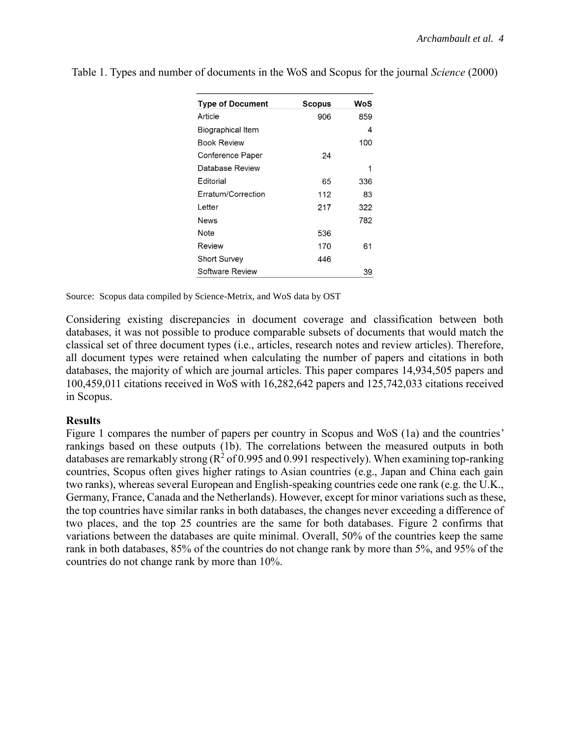| <b>Type of Document</b> | Scopus | WoS |
|-------------------------|--------|-----|
| Article                 | 906    | 859 |
| Biographical Item       |        | 4   |
| <b>Book Review</b>      |        | 100 |
| Conference Paper        | 24     |     |
| Database Review         |        | 1   |
| Editorial               | 65     | 336 |
| Erratum/Correction      | 112    | 83  |
| Letter                  | 217    | 322 |
| <b>News</b>             |        | 782 |
| Note                    | 536    |     |
| <b>Review</b>           | 170    | 61  |
| <b>Short Survey</b>     | 446    |     |
| <b>Software Review</b>  |        | 39  |

Table 1. Types and number of documents in the WoS and Scopus for the journal *Science* (2000)

Source: Scopus data compiled by Science-Metrix, and WoS data by OST

Considering existing discrepancies in document coverage and classification between both databases, it was not possible to produce comparable subsets of documents that would match the classical set of three document types (i.e., articles, research notes and review articles). Therefore, all document types were retained when calculating the number of papers and citations in both databases, the majority of which are journal articles. This paper compares 14,934,505 papers and 100,459,011 citations received in WoS with 16,282,642 papers and 125,742,033 citations received in Scopus.

# **Results**

Figure 1 compares the number of papers per country in Scopus and WoS (1a) and the countries' rankings based on these outputs (1b). The correlations between the measured outputs in both databases are remarkably strong ( $R^2$  of 0.995 and 0.991 respectively). When examining top-ranking countries, Scopus often gives higher ratings to Asian countries (e.g., Japan and China each gain two ranks), whereas several European and English-speaking countries cede one rank (e.g. the U.K., Germany, France, Canada and the Netherlands). However, except for minor variations such as these, the top countries have similar ranks in both databases, the changes never exceeding a difference of two places, and the top 25 countries are the same for both databases. Figure 2 confirms that variations between the databases are quite minimal. Overall, 50% of the countries keep the same rank in both databases, 85% of the countries do not change rank by more than 5%, and 95% of the countries do not change rank by more than 10%.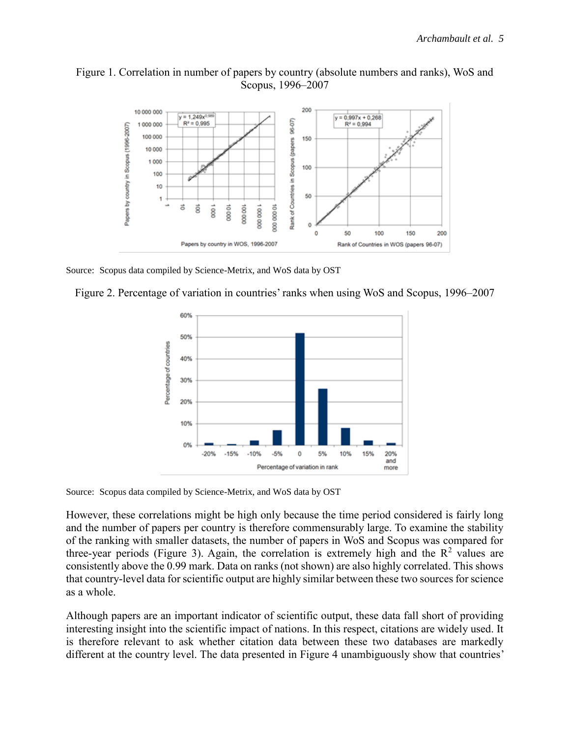# Figure 1. Correlation in number of papers by country (absolute numbers and ranks), WoS and Scopus, 1996–2007



Source: Scopus data compiled by Science-Metrix, and WoS data by OST





Source: Scopus data compiled by Science-Metrix, and WoS data by OST

However, these correlations might be high only because the time period considered is fairly long and the number of papers per country is therefore commensurably large. To examine the stability of the ranking with smaller datasets, the number of papers in WoS and Scopus was compared for three-year periods (Figure 3). Again, the correlation is extremely high and the  $\mathbb{R}^2$  values are consistently above the 0.99 mark. Data on ranks (not shown) are also highly correlated. This shows that country-level data for scientific output are highly similar between these two sources for science as a whole.

Although papers are an important indicator of scientific output, these data fall short of providing interesting insight into the scientific impact of nations. In this respect, citations are widely used. It is therefore relevant to ask whether citation data between these two databases are markedly different at the country level. The data presented in Figure 4 unambiguously show that countries'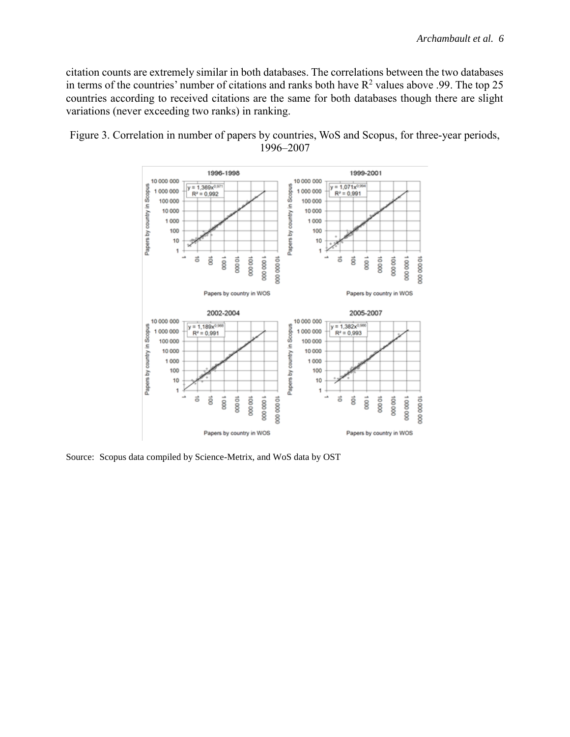citation counts are extremely similar in both databases. The correlations between the two databases in terms of the countries' number of citations and ranks both have  $R^2$  values above .99. The top 25 countries according to received citations are the same for both databases though there are slight variations (never exceeding two ranks) in ranking.



Figure 3. Correlation in number of papers by countries, WoS and Scopus, for three-year periods, 1996–2007

Source: Scopus data compiled by Science-Metrix, and WoS data by OST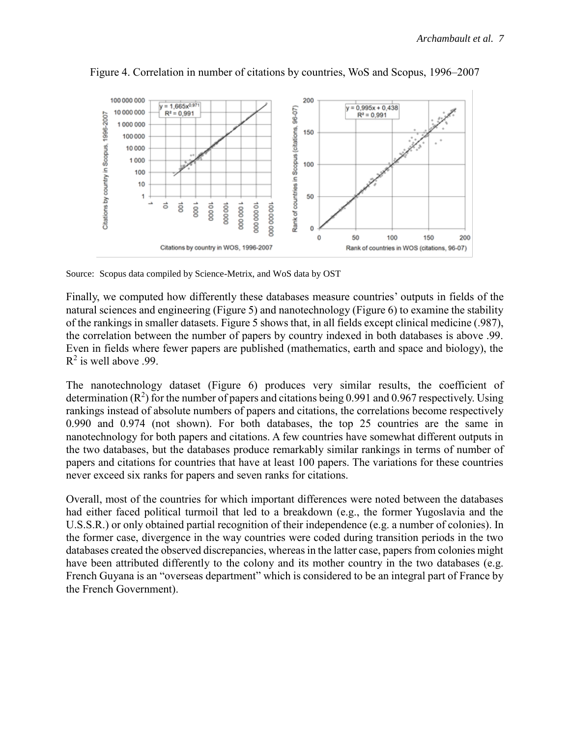

Figure 4. Correlation in number of citations by countries, WoS and Scopus, 1996–2007

Source: Scopus data compiled by Science-Metrix, and WoS data by OST

Finally, we computed how differently these databases measure countries' outputs in fields of the natural sciences and engineering (Figure 5) and nanotechnology (Figure 6) to examine the stability of the rankings in smaller datasets. Figure 5 shows that, in all fields except clinical medicine (.987), the correlation between the number of papers by country indexed in both databases is above .99. Even in fields where fewer papers are published (mathematics, earth and space and biology), the  $R^2$  is well above .99.

The nanotechnology dataset (Figure 6) produces very similar results, the coefficient of determination ( $\mathbb{R}^2$ ) for the number of papers and citations being 0.991 and 0.967 respectively. Using rankings instead of absolute numbers of papers and citations, the correlations become respectively 0.990 and 0.974 (not shown). For both databases, the top 25 countries are the same in nanotechnology for both papers and citations. A few countries have somewhat different outputs in the two databases, but the databases produce remarkably similar rankings in terms of number of papers and citations for countries that have at least 100 papers. The variations for these countries never exceed six ranks for papers and seven ranks for citations.

Overall, most of the countries for which important differences were noted between the databases had either faced political turmoil that led to a breakdown (e.g., the former Yugoslavia and the U.S.S.R.) or only obtained partial recognition of their independence (e.g. a number of colonies). In the former case, divergence in the way countries were coded during transition periods in the two databases created the observed discrepancies, whereas in the latter case, papers from colonies might have been attributed differently to the colony and its mother country in the two databases (e.g. French Guyana is an "overseas department" which is considered to be an integral part of France by the French Government).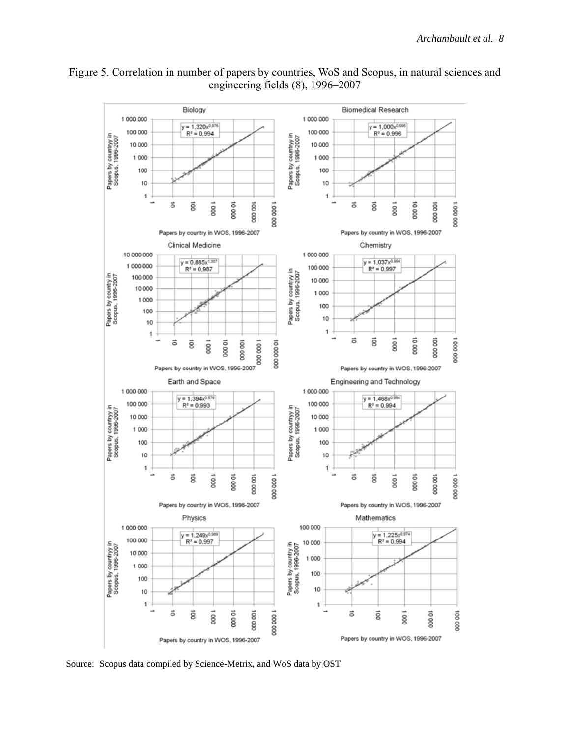

# Figure 5. Correlation in number of papers by countries, WoS and Scopus, in natural sciences and engineering fields (8), 1996–2007

Source: Scopus data compiled by Science-Metrix, and WoS data by OST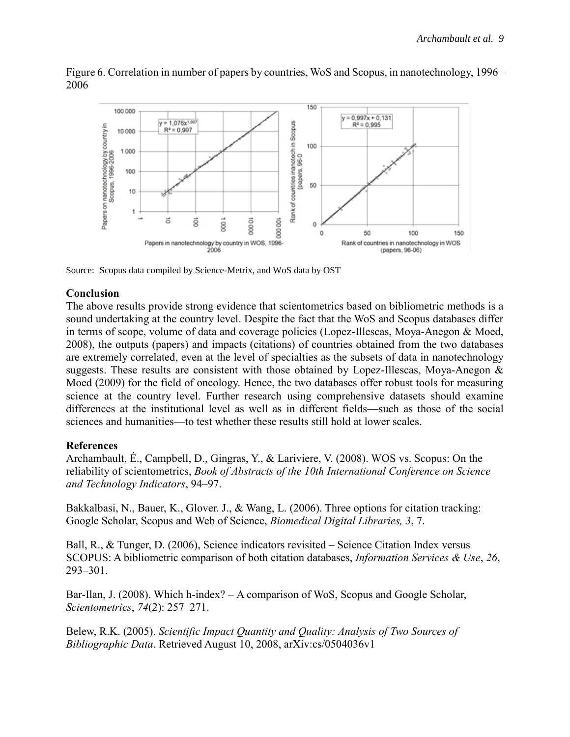

Figure 6. Correlation in number of papers by countries, WoS and Scopus, in nanotechnology, 1996– 2006

Source: Scopus data compiled by Science-Metrix, and WoS data by OST

# **Conclusion**

The above results provide strong evidence that scientometrics based on bibliometric methods is a sound undertaking at the country level. Despite the fact that the WoS and Scopus databases differ in terms of scope, volume of data and coverage policies (Lopez-Illescas, Moya-Anegon & Moed, 2008), the outputs (papers) and impacts (citations) of countries obtained from the two databases are extremely correlated, even at the level of specialties as the subsets of data in nanotechnology suggests. These results are consistent with those obtained by Lopez-Illescas, Moya-Anegon & Moed (2009) for the field of oncology. Hence, the two databases offer robust tools for measuring science at the country level. Further research using comprehensive datasets should examine differences at the institutional level as well as in different fields—such as those of the social sciences and humanities—to test whether these results still hold at lower scales.

# **References**

Archambault, É., Campbell, D., Gingras, Y., & Lariviere, V. (2008). WOS vs. Scopus: On the reliability of scientometrics, *Book of Abstracts of the 10th International Conference on Science and Technology Indicators*, 94–97.

Bakkalbasi, N., Bauer, K., Glover. J., & Wang, L. (2006). Three options for citation tracking: Google Scholar, Scopus and Web of Science, *Biomedical Digital Libraries, 3*, 7.

Ball, R., & Tunger, D. (2006), Science indicators revisited – Science Citation Index versus SCOPUS: A bibliometric comparison of both citation databases, *Information Services & Use*, *26*, 293–301.

Bar-Ilan, J. (2008). Which h-index? – A comparison of WoS, Scopus and Google Scholar, *Scientometrics*, *74*(2): 257–271.

Belew, R.K. (2005). *Scientific Impact Quantity and Quality: Analysis of Two Sources of Bibliographic Data*. Retrieved August 10, 2008, arXiv:cs/0504036v1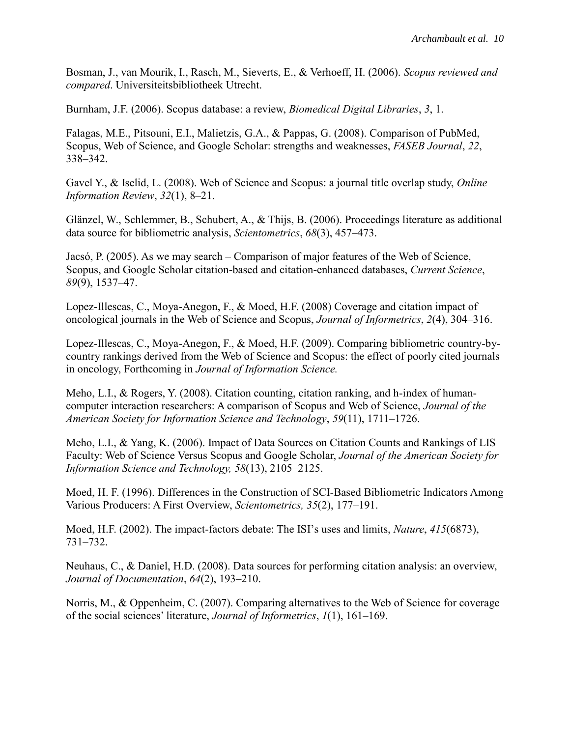Bosman, J., van Mourik, I., Rasch, M., Sieverts, E., & Verhoeff, H. (2006). *Scopus reviewed and compared*. Universiteitsbibliotheek Utrecht.

Burnham, J.F. (2006). Scopus database: a review, *Biomedical Digital Libraries*, *3*, 1.

Falagas, M.E., Pitsouni, E.I., Malietzis, G.A., & Pappas, G. (2008). Comparison of PubMed, Scopus, Web of Science, and Google Scholar: strengths and weaknesses, *FASEB Journal*, *22*, 338–342.

Gavel Y., & Iselid, L. (2008). Web of Science and Scopus: a journal title overlap study, *Online Information Review*, *32*(1), 8–21.

Glänzel, W., Schlemmer, B., Schubert, A., & Thijs, B. (2006). Proceedings literature as additional data source for bibliometric analysis, *Scientometrics*, *68*(3), 457–473.

Jacsó, P. (2005). As we may search – Comparison of major features of the Web of Science, Scopus, and Google Scholar citation-based and citation-enhanced databases, *Current Science*, *89*(9), 1537–47.

Lopez-Illescas, C., Moya-Anegon, F., & Moed, H.F. (2008) Coverage and citation impact of oncological journals in the Web of Science and Scopus, *Journal of Informetrics*, *2*(4), 304–316.

Lopez-Illescas, C., Moya-Anegon, F., & Moed, H.F. (2009). Comparing bibliometric country-bycountry rankings derived from the Web of Science and Scopus: the effect of poorly cited journals in oncology, Forthcoming in *Journal of Information Science.*

Meho, L.I., & Rogers, Y. (2008). Citation counting, citation ranking, and h-index of humancomputer interaction researchers: A comparison of Scopus and Web of Science, *Journal of the American Society for Information Science and Technology*, *59*(11), 1711–1726.

Meho, L.I., & Yang, K. (2006). Impact of Data Sources on Citation Counts and Rankings of LIS Faculty: Web of Science Versus Scopus and Google Scholar, *Journal of the American Society for Information Science and Technology, 58*(13), 2105–2125.

Moed, H. F. (1996). Differences in the Construction of SCI-Based Bibliometric Indicators Among Various Producers: A First Overview, *Scientometrics, 35*(2), 177–191.

Moed, H.F. (2002). The impact-factors debate: The ISI's uses and limits, *Nature*, *415*(6873), 731–732.

Neuhaus, C., & Daniel, H.D. (2008). Data sources for performing citation analysis: an overview, *Journal of Documentation*, *64*(2), 193–210.

Norris, M., & Oppenheim, C. (2007). Comparing alternatives to the Web of Science for coverage of the social sciences' literature, *Journal of Informetrics*, *1*(1), 161–169.